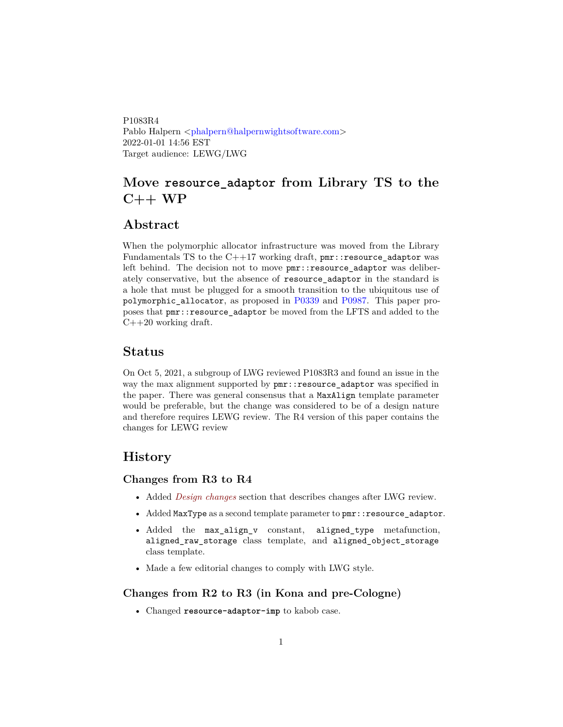<span id="page-0-0"></span>P1083R4 Pablo Halpern [<phalpern@halpernwightsoftware.com>](mailto:phalpern@halpernwightsoftware.com) 2022-01-01 14:56 EST Target audience: LEWG/LWG

# **Move resource\_adaptor from Library TS to the C++ WP**

## **Abstract**

When the polymorphic allocator infrastructure was moved from the Library Fundamentals TS to the  $C++17$  working draft,  $pm$ : resource\_adaptor was left behind. The decision not to move  $pm$ ::resource\_adaptor was deliberately conservative, but the absence of resource\_adaptor in the standard is a hole that must be plugged for a smooth transition to the ubiquitous use of polymorphic\_allocator, as proposed in [P0339](http://wg21.link/p0339) and [P0987.](http://wg21.link/p0987) This paper proposes that pmr::resource\_adaptor be moved from the LFTS and added to the  $C++20$  working draft.

#### **Status**

On Oct 5, 2021, a subgroup of LWG reviewed P1083R3 and found an issue in the way the max alignment supported by pmr::resource\_adaptor was specified in the paper. There was general consensus that a MaxAlign template parameter would be preferable, but the change was considered to be of a design nature and therefore requires LEWG review. The R4 version of this paper contains the changes for LEWG review

### **History**

#### **Changes from R3 to R4**

- Added *[Design changes](#page-1-0)* section that describes changes after LWG review.
- Added MaxType as a second template parameter to pmr::resource\_adaptor.
- Added the max\_align\_v constant, aligned\_type metafunction, aligned\_raw\_storage class template, and aligned\_object\_storage class template.
- Made a few editorial changes to comply with LWG style.

#### **Changes from R2 to R3 (in Kona and pre-Cologne)**

• Changed **resource-adaptor-imp** to kabob case.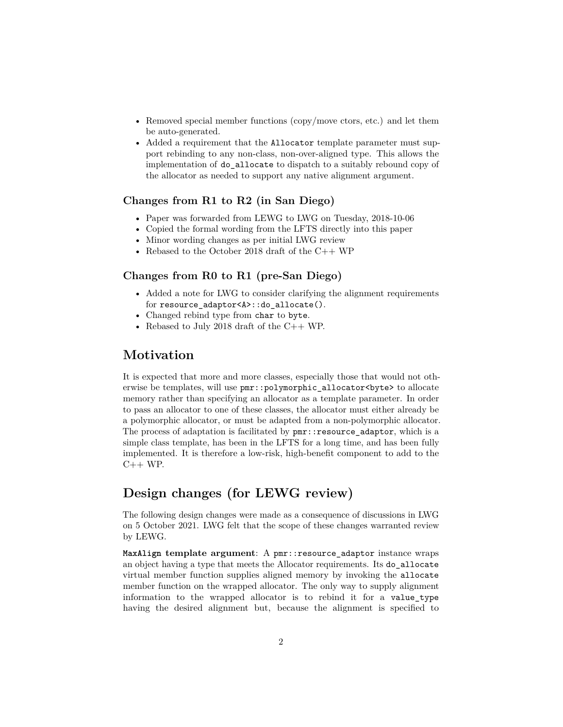- Removed special member functions (copy/move ctors, etc.) and let them be auto-generated.
- Added a requirement that the Allocator template parameter must support rebinding to any non-class, non-over-aligned type. This allows the implementation of do\_allocate to dispatch to a suitably rebound copy of the allocator as needed to support any native alignment argument.

#### **Changes from R1 to R2 (in San Diego)**

- Paper was forwarded from LEWG to LWG on Tuesday, 2018-10-06
- Copied the formal wording from the LFTS directly into this paper
- Minor wording changes as per initial LWG review
- Rebased to the October 2018 draft of the  $C++WP$

#### **Changes from R0 to R1 (pre-San Diego)**

- Added a note for LWG to consider clarifying the alignment requirements for resource\_adaptor<A>::do\_allocate().
- Changed rebind type from char to byte.
- Rebased to July 2018 draft of the C++ WP.

## **Motivation**

It is expected that more and more classes, especially those that would not otherwise be templates, will use  $pm$ : polymorphic allocator<br/>source> to allocate memory rather than specifying an allocator as a template parameter. In order to pass an allocator to one of these classes, the allocator must either already be a polymorphic allocator, or must be adapted from a non-polymorphic allocator. The process of adaptation is facilitated by  $pm:resource$  adaptor, which is a simple class template, has been in the LFTS for a long time, and has been fully implemented. It is therefore a low-risk, high-benefit component to add to the  $C++ WP$ .

# <span id="page-1-0"></span>**Design changes (for LEWG review)**

The following design changes were made as a consequence of discussions in LWG on 5 October 2021. LWG felt that the scope of these changes warranted review by LEWG.

**MaxAlign template argument**: A pmr::resource\_adaptor instance wraps an object having a type that meets the Allocator requirements. Its do\_allocate virtual member function supplies aligned memory by invoking the allocate member function on the wrapped allocator. The only way to supply alignment information to the wrapped allocator is to rebind it for a value\_type having the desired alignment but, because the alignment is specified to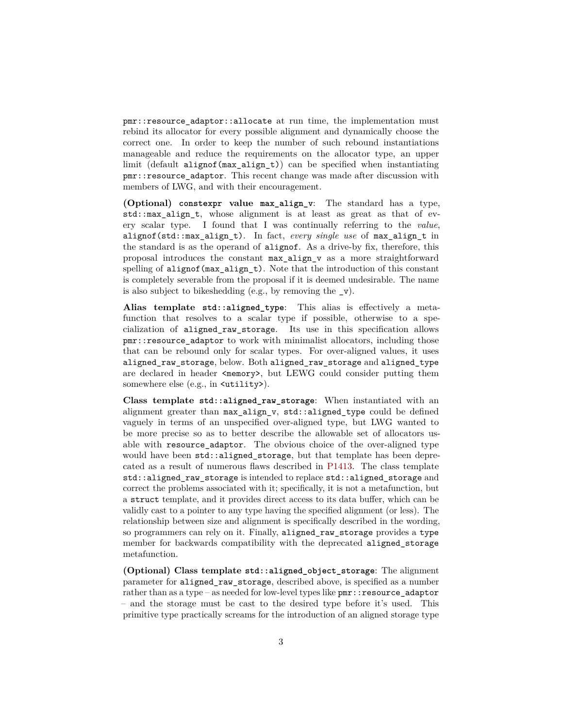pmr::resource\_adaptor::allocate at run time, the implementation must rebind its allocator for every possible alignment and dynamically choose the correct one. In order to keep the number of such rebound instantiations manageable and reduce the requirements on the allocator type, an upper limit (default alignof(max\_align\_t)) can be specified when instantiating pmr::resource\_adaptor. This recent change was made after discussion with members of LWG, and with their encouragement.

**(Optional) constexpr value max\_align\_v**: The standard has a type, std::max\_align\_t, whose alignment is at least as great as that of every scalar type. I found that I was continually referring to the *value*, alignof(std::max\_align\_t). In fact, *every single use* of max\_align\_t in the standard is as the operand of alignof. As a drive-by fix, therefore, this proposal introduces the constant max\_align\_v as a more straightforward spelling of alignof (max align  $t$ ). Note that the introduction of this constant is completely severable from the proposal if it is deemed undesirable. The name is also subject to bikeshedding (e.g., by removing the  $v$ ).

**Alias template std::aligned\_type**: This alias is effectively a metafunction that resolves to a scalar type if possible, otherwise to a specialization of aligned\_raw\_storage. Its use in this specification allows pmr::resource\_adaptor to work with minimalist allocators, including those that can be rebound only for scalar types. For over-aligned values, it uses aligned\_raw\_storage, below. Both aligned\_raw\_storage and aligned\_type are declared in header  $\langle \text{memory} \rangle$ , but LEWG could consider putting them somewhere else (e.g., in  $\text{cutility>}.$ ).

**Class template std::aligned\_raw\_storage**: When instantiated with an alignment greater than max align  $v$ , std::aligned type could be defined vaguely in terms of an unspecified over-aligned type, but LWG wanted to be more precise so as to better describe the allowable set of allocators usable with resource\_adaptor. The obvious choice of the over-aligned type would have been std::aligned storage, but that template has been deprecated as a result of numerous flaws described in [P1413.](#page-0-0) The class template std::aligned\_raw\_storage is intended to replace std::aligned\_storage and correct the problems associated with it; specifically, it is not a metafunction, but a struct template, and it provides direct access to its data buffer, which can be validly cast to a pointer to any type having the specified alignment (or less). The relationship between size and alignment is specifically described in the wording, so programmers can rely on it. Finally, aligned\_raw\_storage provides a type member for backwards compatibility with the deprecated aligned\_storage metafunction.

**(Optional) Class template std::aligned\_object\_storage**: The alignment parameter for aligned\_raw\_storage, described above, is specified as a number rather than as a type – as needed for low-level types like  $pm:$ : resource adaptor – and the storage must be cast to the desired type before it's used. This primitive type practically screams for the introduction of an aligned storage type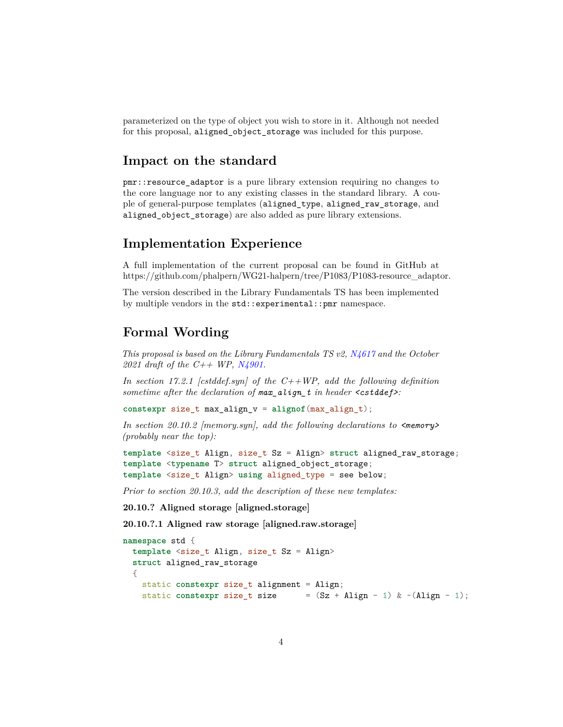parameterized on the type of object you wish to store in it. Although not needed for this proposal, aligned\_object\_storage was included for this purpose.

## **Impact on the standard**

pmr::resource\_adaptor is a pure library extension requiring no changes to the core language nor to any existing classes in the standard library. A couple of general-purpose templates (aligned\_type, aligned\_raw\_storage, and aligned\_object\_storage) are also added as pure library extensions.

## **Implementation Experience**

A full implementation of the current proposal can be found in GitHub at https://github.com/phalpern/WG21-halpern/tree/P1083/P1083-resource\_adaptor.

The version described in the Library Fundamentals TS has been implemented by multiple vendors in the std::experimental::pmr namespace.

## **Formal Wording**

*This proposal is based on the Library Fundamentals TS v2, [N4617](http://www.open-std.org/JTC1/SC22/WG21/docs/papers/2016/n4617.pdf) and the October 2021 draft of the C++ WP, [N4901.](http://www.open-std.org/JTC1/SC22/WG21/docs/papers/2021/n4901.pdf)*

*In section 17.2.1 [cstddef.syn] of the C++WP, add the following definition sometime after the declaration of max\_align\_t in header <cstddef>:*

**constexpr** size\_t max\_align\_v = **alignof**(max\_align\_t);

*In section 20.10.2 [memory.syn], add the following declarations to <memory> (probably near the top):*

```
template <size_t Align, size_t Sz = Align> struct aligned_raw_storage;
template <typename T> struct aligned_object_storage;
template <size_t Align> using aligned_type = see below;
```
*Prior to section 20.10.3, add the description of these new templates:*

**20.10.? Aligned storage [aligned.storage]**

**20.10.?.1 Aligned raw storage [aligned.raw.storage]**

```
namespace std {
  template <size_t Align, size_t Sz = Align>
  struct aligned_raw_storage
  {
    static constexpr size_t alignment = Align;
    static constexpr size_t size = (Sz + \text{align} - 1) \& \sim (\text{align} - 1);
```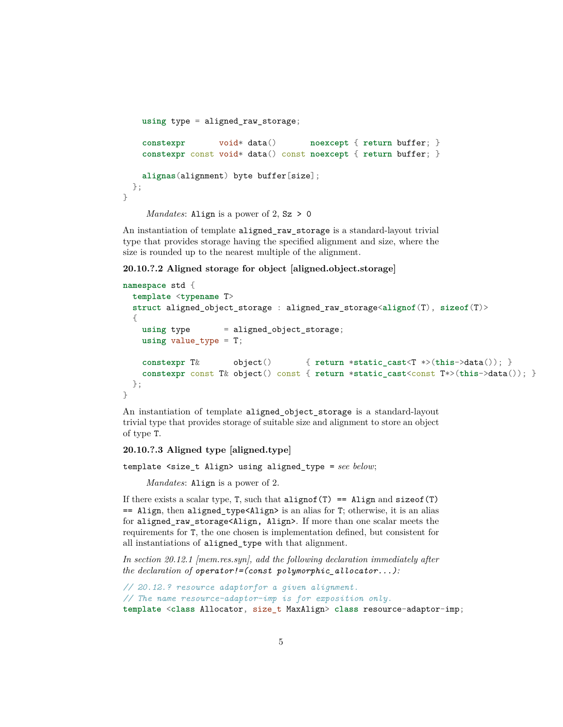```
using type = aligned_raw_storage;
   constexpr void* data() noexcept { return buffer; }
   constexpr const void* data() const noexcept { return buffer; }
   alignas(alignment) byte buffer[size];
 };
}
```
*Mandates*: Align is a power of 2, Sz > 0

An instantiation of template aligned\_raw\_storage is a standard-layout trivial type that provides storage having the specified alignment and size, where the size is rounded up to the nearest multiple of the alignment.

**20.10.?.2 Aligned storage for object [aligned.object.storage]**

```
namespace std {
 template <typename T>
  struct aligned_object_storage : aligned_raw_storage<alignof(T), sizeof(T)>
 {
   using type = aligned_object_storage;
   using value_type = T;
   constexpr T& object() { return *static_cast<T *>(this->data()); }
   constexpr const T& object() const { return *static_cast<const T*>(this->data()); }
 };
}
```
An instantiation of template aligned\_object\_storage is a standard-layout trivial type that provides storage of suitable size and alignment to store an object of type T.

**20.10.?.3 Aligned type [aligned.type]**

template <size\_t Align> using aligned\_type = *see below*;

*Mandates*: Align is a power of 2.

If there exists a scalar type, T, such that  $alignof(T) ==$  Align and sizeof(T) == Align, then aligned\_type<Align> is an alias for T; otherwise, it is an alias for aligned\_raw\_storage<Align, Align>. If more than one scalar meets the requirements for T, the one chosen is implementation defined, but consistent for all instantiations of aligned\_type with that alignment.

*In section 20.12.1 [mem.res.syn], add the following declaration immediately after the declaration of operator!=(const polymorphic\_allocator...):*

```
// 20.12.? resource adaptorfor a given alignment.
// The name resource-adaptor-imp is for exposition only.
template <class Allocator, size_t MaxAlign> class resource-adaptor-imp;
```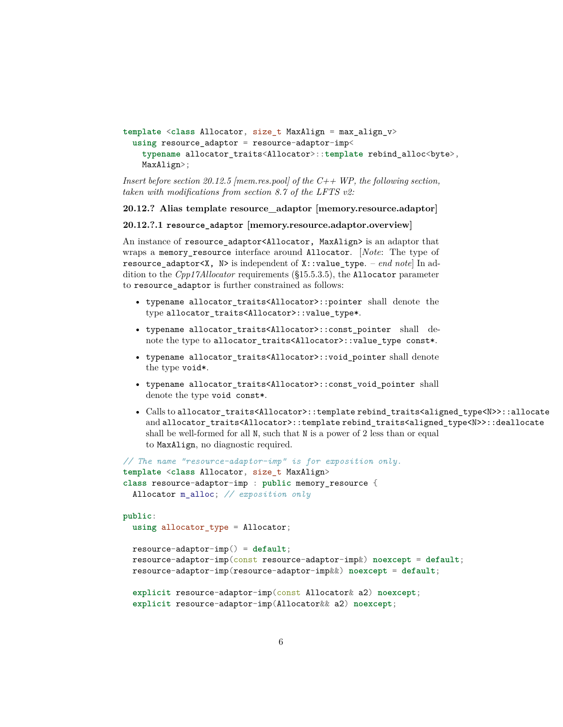```
template <class Allocator, size_t MaxAlign = max_align_v>
  using resource_adaptor = resource-adaptor-imp<
    typename allocator_traits<Allocator>::template rebind_alloc<byte>,
    MaxAlign>;
```

```
Insert before section 20.12.5 [mem.res.pool] of the C++ WP, the following section,
taken with modifications from section 8.7 of the LFTS v2:
```
#### **20.12.? Alias template resource\_adaptor [memory.resource.adaptor]**

#### **20.12.?.1 resource\_adaptor [memory.resource.adaptor.overview]**

An instance of resource\_adaptor<Allocator, MaxAlign> is an adaptor that wraps a memory\_resource interface around Allocator. [*Note*: The type of resource adaptor X, N> is independent of X: value type. – *end note*] In addition to the *Cpp17Allocator* requirements (§15.5.3.5), the Allocator parameter to resource adaptor is further constrained as follows:

- typename allocator\_traits<Allocator>::pointer shall denote the type allocator\_traits<Allocator>::value\_type\*.
- typename allocator\_traits<Allocator>::const\_pointer shall denote the type to allocator\_traits<Allocator>::value\_type const\*.
- typename allocator\_traits<Allocator>::void\_pointer shall denote the type void\*.
- typename allocator\_traits<Allocator>::const\_void\_pointer shall denote the type void const\*.
- Calls to allocator traits<Allocator>::template rebind traits<aligned type<N>>::allocate and allocator\_traits<Allocator>::template rebind\_traits<aligned\_type<N>>::deallocate shall be well-formed for all N, such that N is a power of 2 less than or equal to MaxAlign, no diagnostic required.

```
// The name "resource-adaptor-imp" is for exposition only.
template <class Allocator, size_t MaxAlign>
class resource-adaptor-imp : public memory_resource {
  Allocator m_alloc; // exposition only
public:
 using allocator_type = Allocator;
 resource-adaptor-imp() = default;
 resource-adaptor-imp(const resource-adaptor-imp&) noexcept = default;
 resource-adaptor-imp(resource-adaptor-imp&&) noexcept = default;
  explicit resource-adaptor-imp(const Allocator& a2) noexcept;
  explicit resource-adaptor-imp(Allocator&& a2) noexcept;
```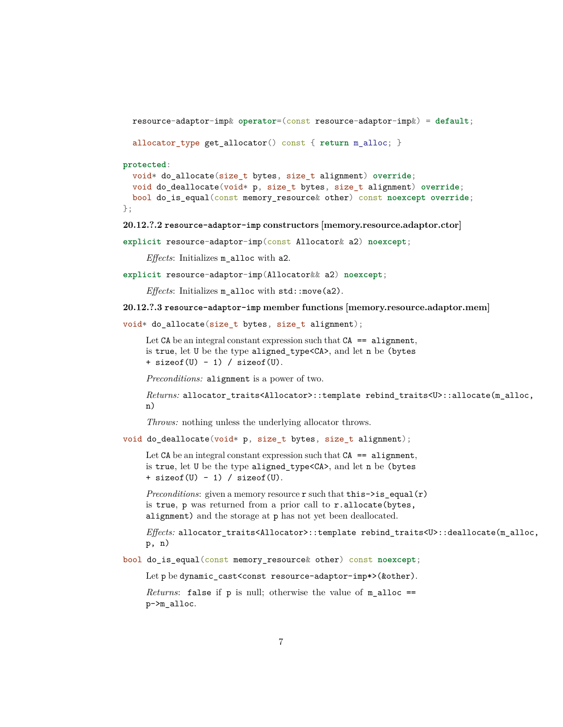```
resource-adaptor-imp& operator=(const resource-adaptor-imp&) = default;
```

```
allocator_type get_allocator() const { return m_alloc; }
```
**protected**:

```
void* do_allocate(size_t bytes, size_t alignment) override;
 void do_deallocate(void* p, size_t bytes, size_t alignment) override;
 bool do_is_equal(const memory_resource& other) const noexcept override;
};
```
**20.12.?.2 resource-adaptor-imp constructors [memory.resource.adaptor.ctor]**

**explicit** resource-adaptor-imp(const Allocator& a2) **noexcept**;

*Effects*: Initializes m\_alloc with a2.

**explicit** resource-adaptor-imp(Allocator&& a2) **noexcept**;

*Effects*: Initializes m\_alloc with std::move(a2).

**20.12.?.3 resource-adaptor-imp member functions [memory.resource.adaptor.mem]**

```
void* do_allocate(size_t bytes, size_t alignment);
```
Let  $CA$  be an integral constant expression such that  $CA$  == alignment, is true, let U be the type aligned\_type<CA>, and let n be (bytes  $+$  sizeof(U) - 1) / sizeof(U).

*Preconditions:* alignment is a power of two.

```
Returns: allocator_traits<Allocator>::template rebind_traits<U>::allocate(m_alloc,
n)
```
*Throws:* nothing unless the underlying allocator throws.

void do\_deallocate(void\* p, size\_t bytes, size\_t alignment);

Let  $CA$  be an integral constant expression such that  $CA = a$  alignment, is true, let U be the type aligned\_type<CA>, and let n be (bytes  $+$  sizeof(U) - 1) / sizeof(U).

*Preconditions*: given a memory resource r such that this->is\_equal(r) is true, p was returned from a prior call to r.allocate(bytes, alignment) and the storage at p has not yet been deallocated.

*Effects:* allocator\_traits<Allocator>::template rebind\_traits<U>::deallocate(m\_alloc, p, n)

bool do\_is\_equal(const memory\_resource& other) const **noexcept**;

Let p be dynamic\_cast<const resource-adaptor-imp\*>(&other).

*Returns*: false if p is null; otherwise the value of m\_alloc == p->m\_alloc.